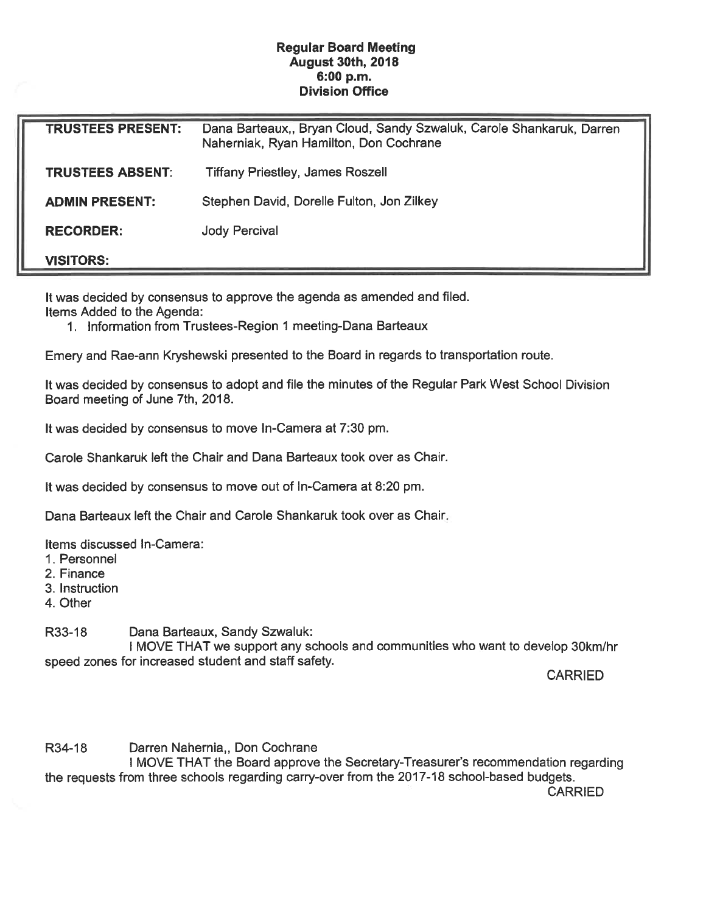## Regular Board Meeting August 30th, 2018 6:00 p.m. Division Office

| <b>TRUSTEES PRESENT:</b> | Dana Barteaux,, Bryan Cloud, Sandy Szwaluk, Carole Shankaruk, Darren<br>Naherniak, Ryan Hamilton, Don Cochrane |
|--------------------------|----------------------------------------------------------------------------------------------------------------|
| <b>TRUSTEES ABSENT:</b>  | <b>Tiffany Priestley, James Roszell</b>                                                                        |
| <b>ADMIN PRESENT:</b>    | Stephen David, Dorelle Fulton, Jon Zilkey                                                                      |
| <b>RECORDER:</b>         | Jody Percival                                                                                                  |
| <b>VISITORS:</b>         |                                                                                                                |

It was decided by consensus to approve the agenda as amended and filed. Items Added to the Agenda:

1. Information from Trustees-Region 1 meeting-Dana Barteaux

Emery and Rae-ann Kryshewski presented to the Board in regards to transportation route.

It was decided by consensus to adopt and file the minutes of the Regular Park West School Division Board meeting of June 7th, 2018.

It was decided by consensus to move In-Camera at 7:30 pm.

Carols Shankaruk left the Chair and Dana Barteaux took over as Chair.

It was decided by consensus to move out of In-Camera at 8:20 pm.

Dana Barteaux left the Chair and Carole Shankaruk took over as Chair

Items discussed In-Camera:

- 1. Personnel
- 2. Finance
- 3. Instruction
- 4. Other

R33-18 Dana Barteaux, Sandy Szwaluk:

I MOVE THAT we support any schools and communities who want to develop 30km/hr speed zones for increased student and staff safety.

CARRIED

R34-18 Darren Nahernia,, Don Cochrane

I MOVE THAT the Board approve the Secretary-Treasurer's recommendation regarding the requests from three schools regarding carry-over from the 2017-18 school-based budgets. **CARRIED**